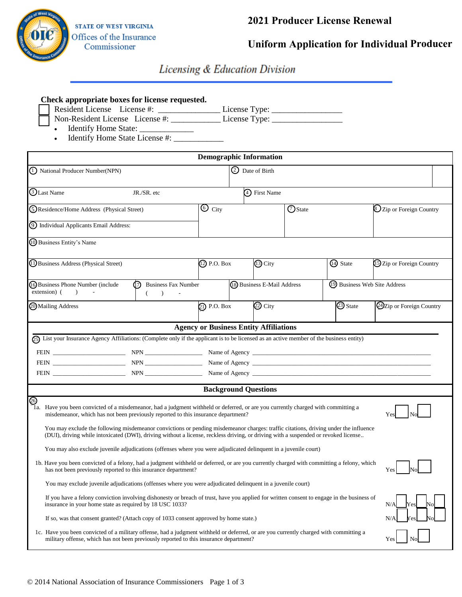

## **2021 Producer License Renewal**

**Uniform Application for Individual Producer**

# Licensing & Education Division

|                                                                                                                                                                                                                                                                                                                | Check appropriate boxes for license requested.<br>Resident License License #: ______________________License Type: _________________<br>Non-Resident License License #: License Type:<br>Identify Home State License #:                                                                                                                                                                                                                                                                                                                                                                                                                                                                                                                                                                                                                                                                                                                                   |                |                             |                |                              |                                     |  |
|----------------------------------------------------------------------------------------------------------------------------------------------------------------------------------------------------------------------------------------------------------------------------------------------------------------|----------------------------------------------------------------------------------------------------------------------------------------------------------------------------------------------------------------------------------------------------------------------------------------------------------------------------------------------------------------------------------------------------------------------------------------------------------------------------------------------------------------------------------------------------------------------------------------------------------------------------------------------------------------------------------------------------------------------------------------------------------------------------------------------------------------------------------------------------------------------------------------------------------------------------------------------------------|----------------|-----------------------------|----------------|------------------------------|-------------------------------------|--|
| <b>Demographic Information</b>                                                                                                                                                                                                                                                                                 |                                                                                                                                                                                                                                                                                                                                                                                                                                                                                                                                                                                                                                                                                                                                                                                                                                                                                                                                                          |                |                             |                |                              |                                     |  |
| (I) National Producer Number(NPN)                                                                                                                                                                                                                                                                              |                                                                                                                                                                                                                                                                                                                                                                                                                                                                                                                                                                                                                                                                                                                                                                                                                                                                                                                                                          |                | 2 Date of Birth             |                |                              |                                     |  |
| <b>TLast Name</b>                                                                                                                                                                                                                                                                                              | JR./SR. etc                                                                                                                                                                                                                                                                                                                                                                                                                                                                                                                                                                                                                                                                                                                                                                                                                                                                                                                                              |                | 4) First Name               |                |                              |                                     |  |
| (5) Residence/Home Address (Physical Street)                                                                                                                                                                                                                                                                   |                                                                                                                                                                                                                                                                                                                                                                                                                                                                                                                                                                                                                                                                                                                                                                                                                                                                                                                                                          | $\odot$ City   |                             | <b>O</b> State |                              | <sup>2</sup> Zip or Foreign Country |  |
| 9 Individual Applicants Email Address:                                                                                                                                                                                                                                                                         |                                                                                                                                                                                                                                                                                                                                                                                                                                                                                                                                                                                                                                                                                                                                                                                                                                                                                                                                                          |                |                             |                |                              |                                     |  |
| 10 Business Entity's Name                                                                                                                                                                                                                                                                                      |                                                                                                                                                                                                                                                                                                                                                                                                                                                                                                                                                                                                                                                                                                                                                                                                                                                                                                                                                          |                |                             |                |                              |                                     |  |
| (1) Business Address (Physical Street)                                                                                                                                                                                                                                                                         |                                                                                                                                                                                                                                                                                                                                                                                                                                                                                                                                                                                                                                                                                                                                                                                                                                                                                                                                                          | (12) P.O. Box  | $\overline{13}$ City        | 14 State       |                              | 15 Zip or Foreign Country           |  |
| (16) Business Phone Number (include<br>(7) Business Fax Number<br>$extension)$ ( )<br>$\rightarrow$                                                                                                                                                                                                            |                                                                                                                                                                                                                                                                                                                                                                                                                                                                                                                                                                                                                                                                                                                                                                                                                                                                                                                                                          |                | (8) Business E-Mail Address |                | 19 Business Web Site Address |                                     |  |
| 20 Mailing Address                                                                                                                                                                                                                                                                                             |                                                                                                                                                                                                                                                                                                                                                                                                                                                                                                                                                                                                                                                                                                                                                                                                                                                                                                                                                          | $(2)$ P.O. Box | $\circled{2}$ City          |                | 23 State                     | 24 Zip or Foreign Country           |  |
| <b>Agency or Business Entity Affiliations</b><br>65) List your Insurance Agency Affiliations: (Complete only if the applicant is to be licensed as an active member of the business entity)                                                                                                                    |                                                                                                                                                                                                                                                                                                                                                                                                                                                                                                                                                                                                                                                                                                                                                                                                                                                                                                                                                          |                |                             |                |                              |                                     |  |
| <b>Background Questions</b>                                                                                                                                                                                                                                                                                    |                                                                                                                                                                                                                                                                                                                                                                                                                                                                                                                                                                                                                                                                                                                                                                                                                                                                                                                                                          |                |                             |                |                              |                                     |  |
| ⊗                                                                                                                                                                                                                                                                                                              | 1a. Have you been convicted of a misdemeanor, had a judgment withheld or deferred, or are you currently charged with committing a<br>misdemeanor, which has not been previously reported to this insurance department?<br>You may exclude the following misdemeanor convictions or pending misdemeanor charges: traffic citations, driving under the influence<br>(DUI), driving while intoxicated (DWI), driving without a license, reckless driving, or driving with a suspended or revoked license<br>You may also exclude juvenile adjudications (offenses where you were adjudicated delinquent in a juvenile court)<br>1b. Have you been convicted of a felony, had a judgment withheld or deferred, or are you currently charged with committing a felony, which<br>has not been previously reported to this insurance department?<br>You may exclude juvenile adjudications (offenses where you were adjudicated delinquent in a juvenile court) |                |                             |                |                              | Yes                                 |  |
| If you have a felony conviction involving dishonesty or breach of trust, have you applied for written consent to engage in the business of<br>insurance in your home state as required by 18 USC 1033?<br>N/A<br>If so, was that consent granted? (Attach copy of 1033 consent approved by home state.)<br>N/A |                                                                                                                                                                                                                                                                                                                                                                                                                                                                                                                                                                                                                                                                                                                                                                                                                                                                                                                                                          |                |                             |                |                              |                                     |  |
| 1c. Have you been convicted of a military offense, had a judgment withheld or deferred, or are you currently charged with committing a<br>military offense, which has not been previously reported to this insurance department?<br>Yes                                                                        |                                                                                                                                                                                                                                                                                                                                                                                                                                                                                                                                                                                                                                                                                                                                                                                                                                                                                                                                                          |                |                             |                |                              |                                     |  |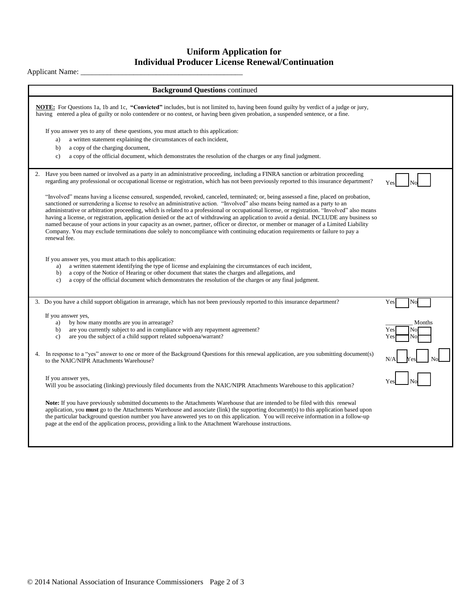#### **Uniform Application for Individual Producer License Renewal/Continuation**

### Applicant Name: \_\_\_\_\_\_\_\_\_\_\_\_\_\_\_\_\_\_\_\_\_\_\_\_\_\_\_\_\_\_\_\_\_\_\_\_\_\_\_\_\_\_\_

| <b>Background Questions continued</b>                                                                                                                                                                                                                                                                                                                                                                                                                                                                                                                                                                                                                                                                                                                                                                                                                       |                                  |
|-------------------------------------------------------------------------------------------------------------------------------------------------------------------------------------------------------------------------------------------------------------------------------------------------------------------------------------------------------------------------------------------------------------------------------------------------------------------------------------------------------------------------------------------------------------------------------------------------------------------------------------------------------------------------------------------------------------------------------------------------------------------------------------------------------------------------------------------------------------|----------------------------------|
| <b>NOTE:</b> For Questions 1a, 1b and 1c, "Convicted" includes, but is not limited to, having been found guilty by verdict of a judge or jury,<br>having entered a plea of guilty or nolo contendere or no contest, or having been given probation, a suspended sentence, or a fine.                                                                                                                                                                                                                                                                                                                                                                                                                                                                                                                                                                        |                                  |
| If you answer yes to any of these questions, you must attach to this application:<br>a written statement explaining the circumstances of each incident,<br>a)<br>b)<br>a copy of the charging document,<br>a copy of the official document, which demonstrates the resolution of the charges or any final judgment.<br>$\mathbf{c}$ )                                                                                                                                                                                                                                                                                                                                                                                                                                                                                                                       |                                  |
| Have you been named or involved as a party in an administrative proceeding, including a FINRA sanction or arbitration proceeding<br>regarding any professional or occupational license or registration, which has not been previously reported to this insurance department?                                                                                                                                                                                                                                                                                                                                                                                                                                                                                                                                                                                | Yes                              |
| "Involved" means having a license censured, suspended, revoked, canceled, terminated; or, being assessed a fine, placed on probation,<br>sanctioned or surrendering a license to resolve an administrative action. "Involved" also means being named as a party to an<br>administrative or arbitration proceeding, which is related to a professional or occupational license, or registration. "Involved" also means<br>having a license, or registration, application denied or the act of withdrawing an application to avoid a denial. INCLUDE any business so<br>named because of your actions in your capacity as an owner, partner, officer or director, or member or manager of a Limited Liability<br>Company. You may exclude terminations due solely to noncompliance with continuing education requirements or failure to pay a<br>renewal fee. |                                  |
| If you answer yes, you must attach to this application:<br>a written statement identifying the type of license and explaining the circumstances of each incident,<br>a)<br>a copy of the Notice of Hearing or other document that states the charges and allegations, and<br>b)<br>a copy of the official document which demonstrates the resolution of the charges or any final judgment.<br>$\mathbf{c}$ )                                                                                                                                                                                                                                                                                                                                                                                                                                                |                                  |
| 3. Do you have a child support obligation in arrearage, which has not been previously reported to this insurance department?                                                                                                                                                                                                                                                                                                                                                                                                                                                                                                                                                                                                                                                                                                                                | Yes<br>No                        |
| If you answer yes,<br>by how many months are you in arrearage?<br>a)<br>are you currently subject to and in compliance with any repayment agreement?<br>b)<br>are you the subject of a child support related subpoena/warrant?<br>$\mathbf{c}$ )                                                                                                                                                                                                                                                                                                                                                                                                                                                                                                                                                                                                            | Months<br>Yes<br>No<br>Yes<br>Nο |
| In response to a "yes" answer to one or more of the Background Questions for this renewal application, are you submitting document(s)<br>to the NAIC/NIPR Attachments Warehouse?                                                                                                                                                                                                                                                                                                                                                                                                                                                                                                                                                                                                                                                                            |                                  |
| If you answer yes,<br>Will you be associating (linking) previously filed documents from the NAIC/NIPR Attachments Warehouse to this application?                                                                                                                                                                                                                                                                                                                                                                                                                                                                                                                                                                                                                                                                                                            | Ye                               |
| Note: If you have previously submitted documents to the Attachments Warehouse that are intended to be filed with this renewal<br>application, you must go to the Attachments Warehouse and associate (link) the supporting document(s) to this application based upon<br>the particular background question number you have answered yes to on this application. You will receive information in a follow-up<br>page at the end of the application process, providing a link to the Attachment Warehouse instructions.                                                                                                                                                                                                                                                                                                                                      |                                  |
|                                                                                                                                                                                                                                                                                                                                                                                                                                                                                                                                                                                                                                                                                                                                                                                                                                                             |                                  |